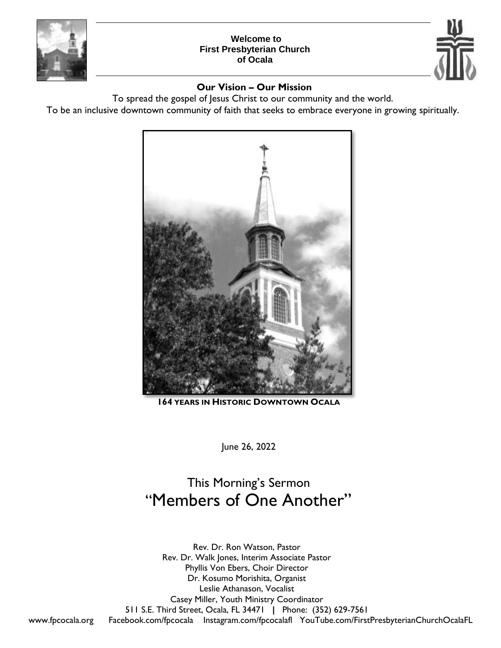

### **Welcome to First Presbyterian Church of Ocala**



### **Our Vision – Our Mission**

To spread the gospel of Jesus Christ to our community and the world.

To be an inclusive downtown community of faith that seeks to embrace everyone in growing spiritually.



**164 YEARS IN HISTORIC DOWNTOWN OCALA**

June 26, 2022

# This Morning's Sermon "Members of One Another"

Rev. Dr. Ron Watson, Pastor Rev. Dr. Walk Jones, Interim Associate Pastor Phyllis Von Ebers, Choir Director Dr. Kosumo Morishita, Organist Leslie Athanason, Vocalist Casey Miller, Youth Ministry Coordinator 511 S.E. Third Street, Ocala, FL 34471 **|** Phone: (352) 629-7561

[www.fpcocala.org](http://www.fpcocala.org/) Facebook.com/fpcocala Instagram.com/fpcocalafl YouTube.com/FirstPresbyterianChurchOcalaFL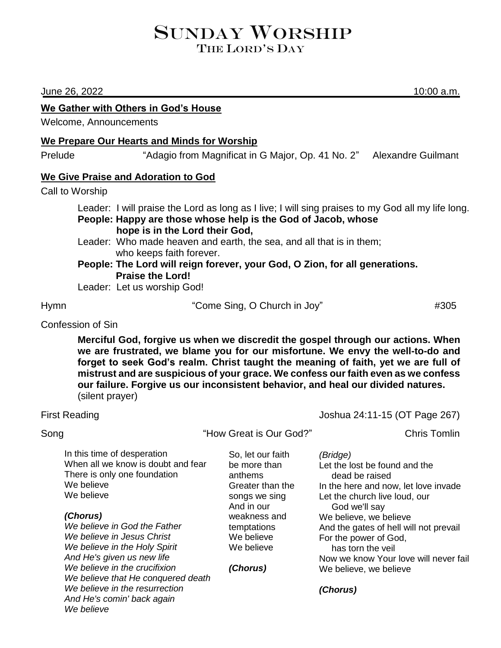# SUNDAY WORSHIP THE LORD'S DAY

June 26, 2022 10:00 a.m.

### **We Gather with Others in God's House**

Welcome, Announcements

### **We Prepare Our Hearts and Minds for Worship**

Prelude "Adagio from Magnificat in G Major, Op. 41 No. 2" Alexandre Guilmant

### **We Give Praise and Adoration to God**

Call to Worship

Leader: I will praise the Lord as long as I live; I will sing praises to my God all my life long. **People: Happy are those whose help is the God of Jacob, whose hope is in the Lord their God,** Leader: Who made heaven and earth, the sea, and all that is in them;

who keeps faith forever.

**People: The Lord will reign forever, your God, O Zion, for all generations. Praise the Lord!**

Leader: Let us worship God!

Hymn  $\sim$  "Come Sing, O Church in Joy"  $\sim$  #305

Confession of Sin

**Merciful God, forgive us when we discredit the gospel through our actions. When we are frustrated, we blame you for our misfortune. We envy the well-to-do and forget to seek God's realm. Christ taught the meaning of faith, yet we are full of mistrust and are suspicious of your grace. We confess our faith even as we confess our failure. Forgive us our inconsistent behavior, and heal our divided natures.** (silent prayer)

First Reading Joshua 24:11-15 (OT Page 267)

Song The Chris Tomlin and the Chris Tomlin and the Chris Tomlin and the Chris Tomlin

In this time of desperation When all we know is doubt and fear There is only one foundation We believe We believe

*(Chorus)*

*We believe in God the Father We believe in Jesus Christ We believe in the Holy Spirit And He's given us new life We believe in the crucifixion We believe that He conquered death We believe in the resurrection And He's comin' back again We believe*

So, let our faith be more than anthems Greater than the songs we sing And in our weakness and temptations We believe We believe

*(Chorus)*

*(Bridge)* Let the lost be found and the dead be raised In the here and now, let love invade Let the church live loud, our God we'll say We believe, we believe And the gates of hell will not prevail For the power of God, has torn the veil Now we know Your love will never fail We believe, we believe

*(Chorus)*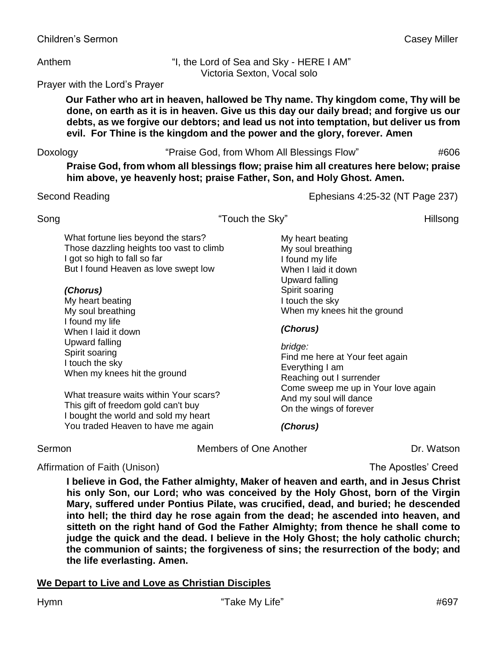### Children's Sermon Children's Sermon Casey Miller

### Anthem  $\blacksquare$  The Lord of Sea and Sky - HERE I AM" Victoria Sexton, Vocal solo

Prayer with the Lord's Prayer

**Our Father who art in heaven, hallowed be Thy name. Thy kingdom come, Thy will be done, on earth as it is in heaven. Give us this day our daily bread; and forgive us our debts, as we forgive our debtors; and lead us not into temptation, but deliver us from evil. For Thine is the kingdom and the power and the glory, forever. Amen**

| Doxology |  |
|----------|--|
|          |  |

"Praise God, from Whom All Blessings Flow" #606

**Praise God, from whom all blessings flow; praise him all creatures here below; praise him above, ye heavenly host; praise Father, Son, and Holy Ghost. Amen.** 

Second Reading **Ephesians 4:25-32 (NT Page 237)** 

Song Touch the Sky" Hillsong Hillsong

What fortune lies beyond the stars? Those dazzling heights too vast to climb I got so high to fall so far But I found Heaven as love swept low

### *(Chorus)*

My heart beating My soul breathing I found my life When I laid it down Upward falling Spirit soaring I touch the sky When my knees hit the ground

What treasure waits within Your scars? This gift of freedom gold can't buy I bought the world and sold my heart You traded Heaven to have me again

My heart beating My soul breathing I found my life When I laid it down Upward falling Spirit soaring I touch the sky When my knees hit the ground

### *(Chorus)*

*bridge:* Find me here at Your feet again Everything I am Reaching out I surrender Come sweep me up in Your love again And my soul will dance On the wings of forever

### *(Chorus)*

Sermon **Sermon Sermon Members of One Another Contract Contract Contract Contract Contract Contract Contract Contract Contract Contract Organization** 

### Affirmation of Faith (Unison) and The Apostles' Creed

**I believe in God, the Father almighty, Maker of heaven and earth, and in Jesus Christ his only Son, our Lord; who was conceived by the Holy Ghost, born of the Virgin Mary, suffered under Pontius Pilate, was crucified, dead, and buried; he descended into hell; the third day he rose again from the dead; he ascended into heaven, and sitteth on the right hand of God the Father Almighty; from thence he shall come to judge the quick and the dead. I believe in the Holy Ghost; the holy catholic church; the communion of saints; the forgiveness of sins; the resurrection of the body; and the life everlasting. Amen.**

### **We Depart to Live and Love as Christian Disciples**